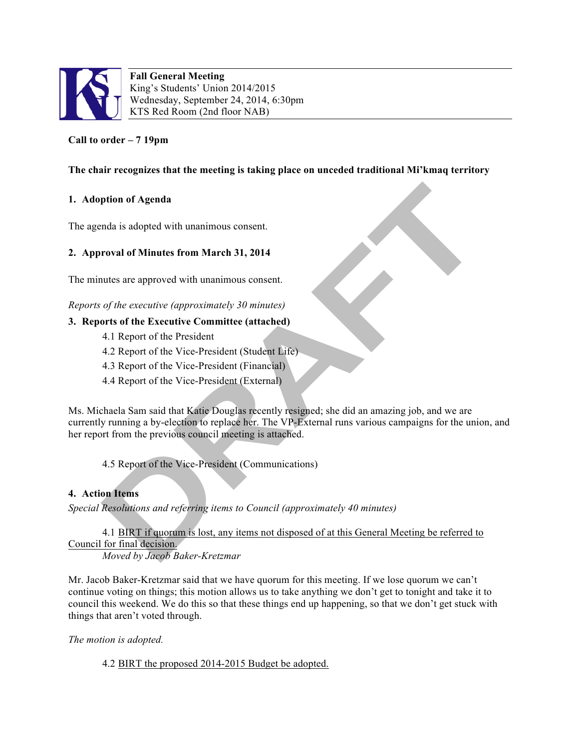

**Fall General Meeting** King's Students' Union 2014/2015 Wednesday, September 24, 2014, 6:30pm KTS Red Room (2nd floor NAB)

# **Call to order – 7 19pm**

## **The chair recognizes that the meeting is taking place on unceded traditional Mi'kmaq territory**

### **1. Adoption of Agenda**

The agenda is adopted with unanimous consent.

### **2. Approval of Minutes from March 31, 2014**

The minutes are approved with unanimous consent.

*Reports of the executive (approximately 30 minutes)*

### **3. Reports of the Executive Committee (attached)**

- 4.1 Report of the President
- 4.2 Report of the Vice-President (Student Life)
- 4.3 Report of the Vice-President (Financial)
- 4.4 Report of the Vice-President (External)

Ms. Michaela Sam said that Katie Douglas recently resigned; she did an amazing job, and we are currently running a by-election to replace her. The VP-External runs various campaigns for the union, and her report from the previous council meeting is attached.

4.5 Report of the Vice-President (Communications)

#### **4. Action Items**

*Special Resolutions and referring items to Council (approximately 40 minutes)*

4.1 BIRT if quorum is lost, any items not disposed of at this General Meeting be referred to Council for final decision.

*Moved by Jacob Baker-Kretzmar*

Mr. Jacob Baker-Kretzmar said that we have quorum for this meeting. If we lose quorum we can't continue voting on things; this motion allows us to take anything we don't get to tonight and take it to council this weekend. We do this so that these things end up happening, so that we don't get stuck with things that aren't voted through.

*The motion is adopted.*

4.2 BIRT the proposed 2014-2015 Budget be adopted.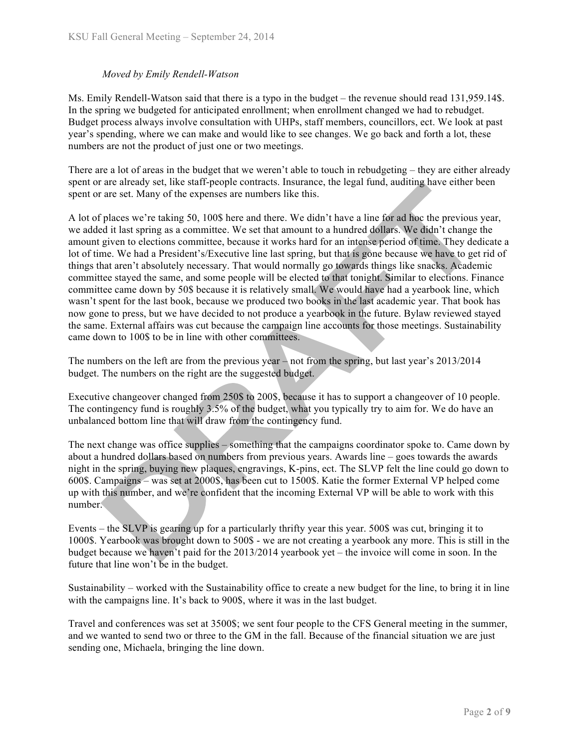### *Moved by Emily Rendell-Watson*

Ms. Emily Rendell-Watson said that there is a typo in the budget – the revenue should read 131,959.14\$. In the spring we budgeted for anticipated enrollment; when enrollment changed we had to rebudget. Budget process always involve consultation with UHPs, staff members, councillors, ect. We look at past year's spending, where we can make and would like to see changes. We go back and forth a lot, these numbers are not the product of just one or two meetings.

There are a lot of areas in the budget that we weren't able to touch in rebudgeting – they are either already spent or are already set, like staff-people contracts. Insurance, the legal fund, auditing have either been spent or are set. Many of the expenses are numbers like this.

A lot of places we're taking 50, 100\$ here and there. We didn't have a line for ad hoc the previous year, we added it last spring as a committee. We set that amount to a hundred dollars. We didn't change the amount given to elections committee, because it works hard for an intense period of time. They dedicate a lot of time. We had a President's/Executive line last spring, but that is gone because we have to get rid of things that aren't absolutely necessary. That would normally go towards things like snacks. Academic committee stayed the same, and some people will be elected to that tonight. Similar to elections. Finance committee came down by 50\$ because it is relatively small. We would have had a yearbook line, which wasn't spent for the last book, because we produced two books in the last academic year. That book has now gone to press, but we have decided to not produce a yearbook in the future. Bylaw reviewed stayed the same. External affairs was cut because the campaign line accounts for those meetings. Sustainability came down to 100\$ to be in line with other committees.

The numbers on the left are from the previous year  $-\text{not}$  from the spring, but last year's 2013/2014 budget. The numbers on the right are the suggested budget.

Executive changeover changed from 250\$ to 200\$, because it has to support a changeover of 10 people. The contingency fund is roughly 3.5% of the budget, what you typically try to aim for. We do have an unbalanced bottom line that will draw from the contingency fund.

The next change was office supplies – something that the campaigns coordinator spoke to. Came down by about a hundred dollars based on numbers from previous years. Awards line – goes towards the awards night in the spring, buying new plaques, engravings, K-pins, ect. The SLVP felt the line could go down to 600\$. Campaigns – was set at 2000\$, has been cut to 1500\$. Katie the former External VP helped come up with this number, and we're confident that the incoming External VP will be able to work with this number.

Events – the SLVP is gearing up for a particularly thrifty year this year. 500\$ was cut, bringing it to 1000\$. Yearbook was brought down to 500\$ - we are not creating a yearbook any more. This is still in the budget because we haven't paid for the 2013/2014 yearbook yet – the invoice will come in soon. In the future that line won't be in the budget.

Sustainability – worked with the Sustainability office to create a new budget for the line, to bring it in line with the campaigns line. It's back to 900\$, where it was in the last budget.

Travel and conferences was set at 3500\$; we sent four people to the CFS General meeting in the summer, and we wanted to send two or three to the GM in the fall. Because of the financial situation we are just sending one, Michaela, bringing the line down.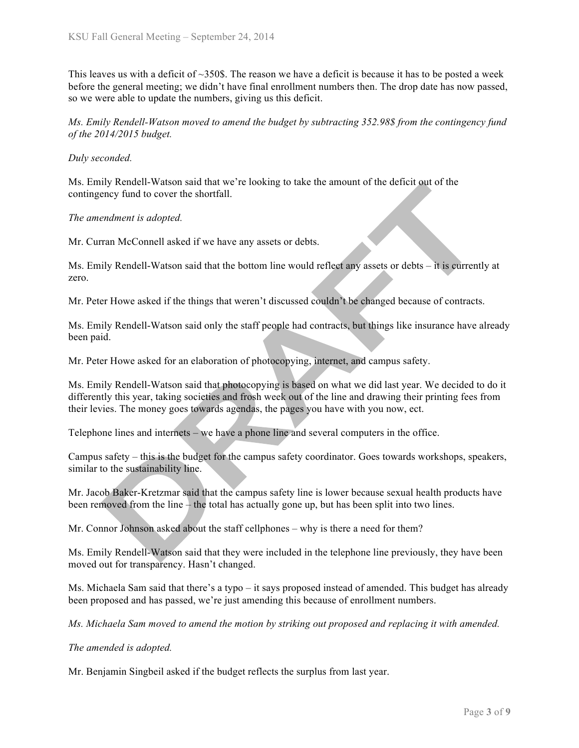This leaves us with a deficit of  $\sim$ 350\$. The reason we have a deficit is because it has to be posted a week before the general meeting; we didn't have final enrollment numbers then. The drop date has now passed, so we were able to update the numbers, giving us this deficit.

*Ms. Emily Rendell-Watson moved to amend the budget by subtracting 352.98\$ from the contingency fund of the 2014/2015 budget.*

#### *Duly seconded.*

Ms. Emily Rendell-Watson said that we're looking to take the amount of the deficit out of the contingency fund to cover the shortfall.

*The amendment is adopted.*

Mr. Curran McConnell asked if we have any assets or debts.

Ms. Emily Rendell-Watson said that the bottom line would reflect any assets or debts – it is currently at zero.

Mr. Peter Howe asked if the things that weren't discussed couldn't be changed because of contracts.

Ms. Emily Rendell-Watson said only the staff people had contracts, but things like insurance have already been paid.

Mr. Peter Howe asked for an elaboration of photocopying, internet, and campus safety.

Ms. Emily Rendell-Watson said that photocopying is based on what we did last year. We decided to do it differently this year, taking societies and frosh week out of the line and drawing their printing fees from their levies. The money goes towards agendas, the pages you have with you now, ect.

Telephone lines and internets – we have a phone line and several computers in the office.

Campus safety – this is the budget for the campus safety coordinator. Goes towards workshops, speakers, similar to the sustainability line.

Mr. Jacob Baker-Kretzmar said that the campus safety line is lower because sexual health products have been removed from the line – the total has actually gone up, but has been split into two lines.

Mr. Connor Johnson asked about the staff cellphones – why is there a need for them?

Ms. Emily Rendell-Watson said that they were included in the telephone line previously, they have been moved out for transparency. Hasn't changed.

Ms. Michaela Sam said that there's a typo – it says proposed instead of amended. This budget has already been proposed and has passed, we're just amending this because of enrollment numbers.

*Ms. Michaela Sam moved to amend the motion by striking out proposed and replacing it with amended.*

*The amended is adopted.*

Mr. Benjamin Singbeil asked if the budget reflects the surplus from last year.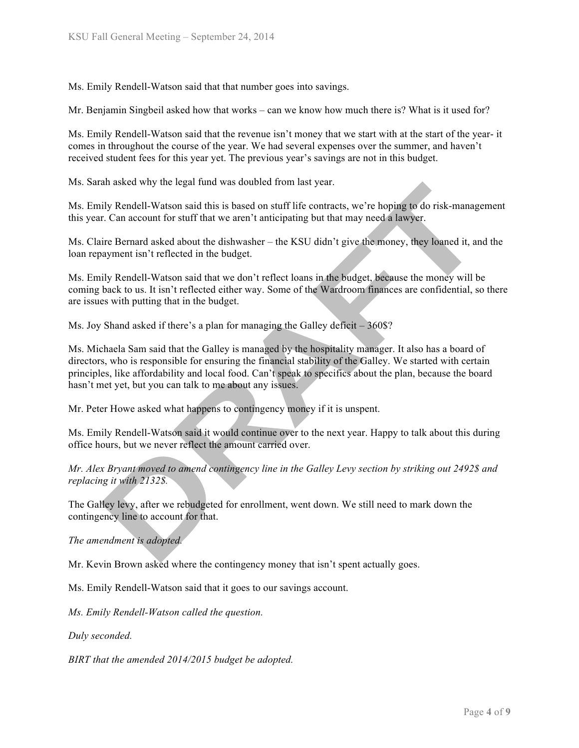Ms. Emily Rendell-Watson said that that number goes into savings.

Mr. Benjamin Singbeil asked how that works – can we know how much there is? What is it used for?

Ms. Emily Rendell-Watson said that the revenue isn't money that we start with at the start of the year- it comes in throughout the course of the year. We had several expenses over the summer, and haven't received student fees for this year yet. The previous year's savings are not in this budget.

Ms. Sarah asked why the legal fund was doubled from last year.

Ms. Emily Rendell-Watson said this is based on stuff life contracts, we're hoping to do risk-management this year. Can account for stuff that we aren't anticipating but that may need a lawyer.

Ms. Claire Bernard asked about the dishwasher – the KSU didn't give the money, they loaned it, and the loan repayment isn't reflected in the budget.

Ms. Emily Rendell-Watson said that we don't reflect loans in the budget, because the money will be coming back to us. It isn't reflected either way. Some of the Wardroom finances are confidential, so there are issues with putting that in the budget.

Ms. Joy Shand asked if there's a plan for managing the Galley deficit – 360\$?

Ms. Michaela Sam said that the Galley is managed by the hospitality manager. It also has a board of directors, who is responsible for ensuring the financial stability of the Galley. We started with certain principles, like affordability and local food. Can't speak to specifics about the plan, because the board hasn't met yet, but you can talk to me about any issues.

Mr. Peter Howe asked what happens to contingency money if it is unspent.

Ms. Emily Rendell-Watson said it would continue over to the next year. Happy to talk about this during office hours, but we never reflect the amount carried over.

*Mr. Alex Bryant moved to amend contingency line in the Galley Levy section by striking out 2492\$ and replacing it with 2132\$.*

The Galley levy, after we rebudgeted for enrollment, went down. We still need to mark down the contingency line to account for that.

*The amendment is adopted.*

Mr. Kevin Brown asked where the contingency money that isn't spent actually goes.

Ms. Emily Rendell-Watson said that it goes to our savings account.

*Ms. Emily Rendell-Watson called the question.*

*Duly seconded.*

*BIRT that the amended 2014/2015 budget be adopted.*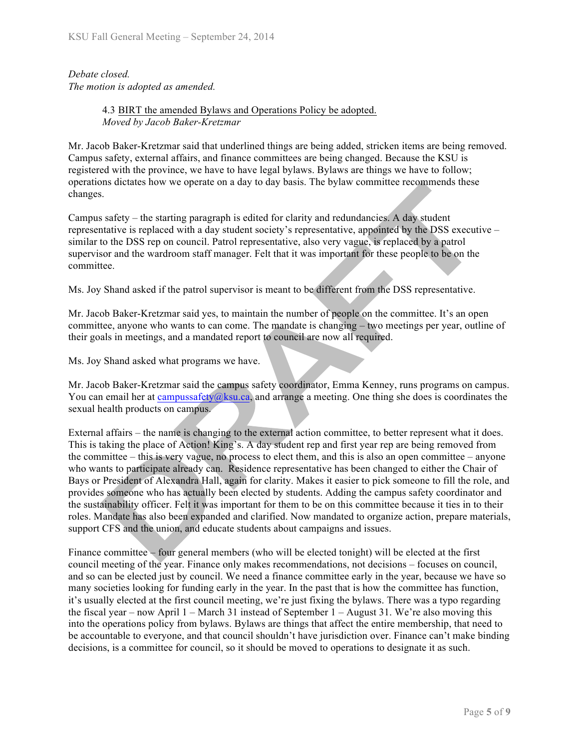*Debate closed. The motion is adopted as amended.*

### 4.3 BIRT the amended Bylaws and Operations Policy be adopted. *Moved by Jacob Baker-Kretzmar*

Mr. Jacob Baker-Kretzmar said that underlined things are being added, stricken items are being removed. Campus safety, external affairs, and finance committees are being changed. Because the KSU is registered with the province, we have to have legal bylaws. Bylaws are things we have to follow; operations dictates how we operate on a day to day basis. The bylaw committee recommends these changes.

Campus safety – the starting paragraph is edited for clarity and redundancies. A day student representative is replaced with a day student society's representative, appointed by the DSS executive – similar to the DSS rep on council. Patrol representative, also very vague, is replaced by a patrol supervisor and the wardroom staff manager. Felt that it was important for these people to be on the committee.

Ms. Joy Shand asked if the patrol supervisor is meant to be different from the DSS representative.

Mr. Jacob Baker-Kretzmar said yes, to maintain the number of people on the committee. It's an open committee, anyone who wants to can come. The mandate is changing – two meetings per year, outline of their goals in meetings, and a mandated report to council are now all required.

Ms. Joy Shand asked what programs we have.

Mr. Jacob Baker-Kretzmar said the campus safety coordinator, Emma Kenney, runs programs on campus. You can email her at campussafety@ksu.ca, and arrange a meeting. One thing she does is coordinates the sexual health products on campus.

External affairs – the name is changing to the external action committee, to better represent what it does. This is taking the place of Action! King's. A day student rep and first year rep are being removed from the committee – this is very vague, no process to elect them, and this is also an open committee – anyone who wants to participate already can. Residence representative has been changed to either the Chair of Bays or President of Alexandra Hall, again for clarity. Makes it easier to pick someone to fill the role, and provides someone who has actually been elected by students. Adding the campus safety coordinator and the sustainability officer. Felt it was important for them to be on this committee because it ties in to their roles. Mandate has also been expanded and clarified. Now mandated to organize action, prepare materials, support CFS and the union, and educate students about campaigns and issues.

Finance committee – four general members (who will be elected tonight) will be elected at the first council meeting of the year. Finance only makes recommendations, not decisions – focuses on council, and so can be elected just by council. We need a finance committee early in the year, because we have so many societies looking for funding early in the year. In the past that is how the committee has function, it's usually elected at the first council meeting, we're just fixing the bylaws. There was a typo regarding the fiscal year – now April  $1 -$  March 31 instead of September  $1 -$  August 31. We're also moving this into the operations policy from bylaws. Bylaws are things that affect the entire membership, that need to be accountable to everyone, and that council shouldn't have jurisdiction over. Finance can't make binding decisions, is a committee for council, so it should be moved to operations to designate it as such.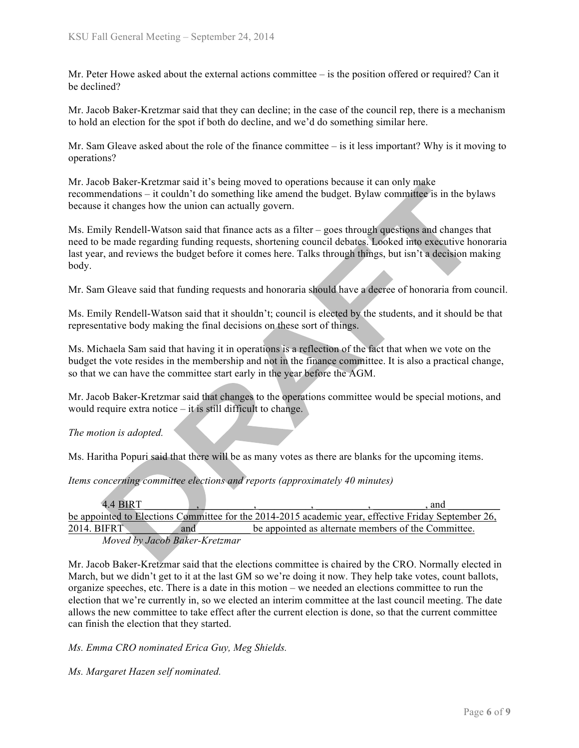Mr. Peter Howe asked about the external actions committee – is the position offered or required? Can it be declined?

Mr. Jacob Baker-Kretzmar said that they can decline; in the case of the council rep, there is a mechanism to hold an election for the spot if both do decline, and we'd do something similar here.

Mr. Sam Gleave asked about the role of the finance committee  $-$  is it less important? Why is it moving to operations?

Mr. Jacob Baker-Kretzmar said it's being moved to operations because it can only make recommendations – it couldn't do something like amend the budget. Bylaw committee is in the bylaws because it changes how the union can actually govern.

Ms. Emily Rendell-Watson said that finance acts as a filter – goes through questions and changes that need to be made regarding funding requests, shortening council debates. Looked into executive honoraria last year, and reviews the budget before it comes here. Talks through things, but isn't a decision making body.

Mr. Sam Gleave said that funding requests and honoraria should have a decree of honoraria from council.

Ms. Emily Rendell-Watson said that it shouldn't; council is elected by the students, and it should be that representative body making the final decisions on these sort of things.

Ms. Michaela Sam said that having it in operations is a reflection of the fact that when we vote on the budget the vote resides in the membership and not in the finance committee. It is also a practical change, so that we can have the committee start early in the year before the AGM.

Mr. Jacob Baker-Kretzmar said that changes to the operations committee would be special motions, and would require extra notice – it is still difficult to change.

*The motion is adopted.*

Ms. Haritha Popuri said that there will be as many votes as there are blanks for the upcoming items.

*Items concerning committee elections and reports (approximately 40 minutes)*

| 4.4 BIRT                                                                                            |     |  |                                                     | and |
|-----------------------------------------------------------------------------------------------------|-----|--|-----------------------------------------------------|-----|
| be appointed to Elections Committee for the 2014-2015 academic year, effective Friday September 26, |     |  |                                                     |     |
| 2014. BIFRT                                                                                         | and |  | be appointed as alternate members of the Committee. |     |
| Moved by Jacob Baker-Kretzmar                                                                       |     |  |                                                     |     |

Mr. Jacob Baker-Kretzmar said that the elections committee is chaired by the CRO. Normally elected in March, but we didn't get to it at the last GM so we're doing it now. They help take votes, count ballots, organize speeches, etc. There is a date in this motion – we needed an elections committee to run the election that we're currently in, so we elected an interim committee at the last council meeting. The date allows the new committee to take effect after the current election is done, so that the current committee can finish the election that they started.

*Ms. Emma CRO nominated Erica Guy, Meg Shields.*

*Ms. Margaret Hazen self nominated.*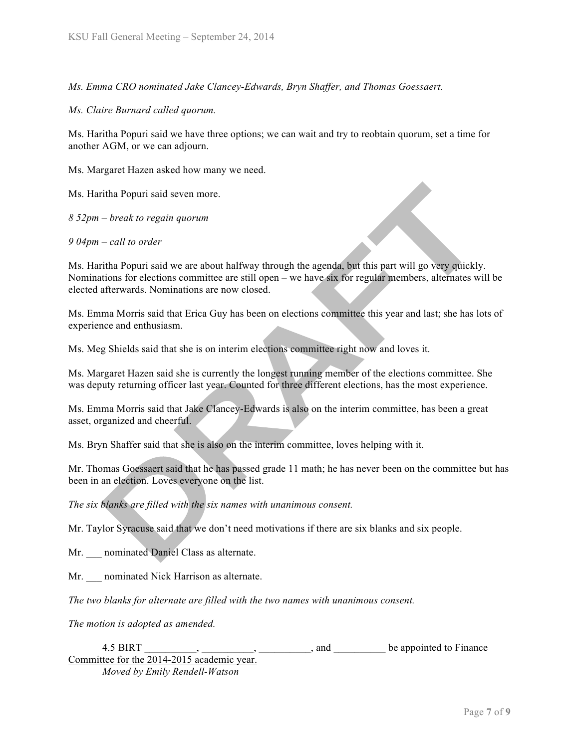*Ms. Emma CRO nominated Jake Clancey-Edwards, Bryn Shaffer, and Thomas Goessaert.* 

*Ms. Claire Burnard called quorum.*

Ms. Haritha Popuri said we have three options; we can wait and try to reobtain quorum, set a time for another AGM, or we can adjourn.

Ms. Margaret Hazen asked how many we need.

Ms. Haritha Popuri said seven more.

*8 52pm – break to regain quorum*

*9 04pm – call to order*

Ms. Haritha Popuri said we are about halfway through the agenda, but this part will go very quickly. Nominations for elections committee are still open – we have six for regular members, alternates will be elected afterwards. Nominations are now closed.

Ms. Emma Morris said that Erica Guy has been on elections committee this year and last; she has lots of experience and enthusiasm.

Ms. Meg Shields said that she is on interim elections committee right now and loves it.

Ms. Margaret Hazen said she is currently the longest running member of the elections committee. She was deputy returning officer last year. Counted for three different elections, has the most experience.

Ms. Emma Morris said that Jake Clancey-Edwards is also on the interim committee, has been a great asset, organized and cheerful.

Ms. Bryn Shaffer said that she is also on the interim committee, loves helping with it.

Mr. Thomas Goessaert said that he has passed grade 11 math; he has never been on the committee but has been in an election. Loves everyone on the list.

*The six blanks are filled with the six names with unanimous consent.*

Mr. Taylor Syracuse said that we don't need motivations if there are six blanks and six people.

Mr. \_\_\_ nominated Daniel Class as alternate.

Mr. **nominated Nick Harrison as alternate.** 

*The two blanks for alternate are filled with the two names with unanimous consent.*

*The motion is adopted as amended.*

| 4.5 BIRT                                   |  | and | be appointed to Finance |
|--------------------------------------------|--|-----|-------------------------|
| Committee for the 2014-2015 academic year. |  |     |                         |

*Moved by Emily Rendell-Watson*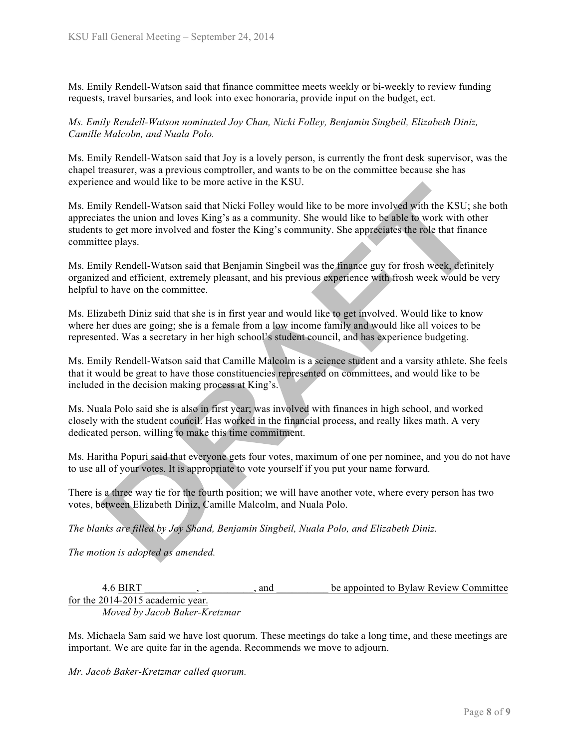Ms. Emily Rendell-Watson said that finance committee meets weekly or bi-weekly to review funding requests, travel bursaries, and look into exec honoraria, provide input on the budget, ect.

*Ms. Emily Rendell-Watson nominated Joy Chan, Nicki Folley, Benjamin Singbeil, Elizabeth Diniz, Camille Malcolm, and Nuala Polo.* 

Ms. Emily Rendell-Watson said that Joy is a lovely person, is currently the front desk supervisor, was the chapel treasurer, was a previous comptroller, and wants to be on the committee because she has experience and would like to be more active in the KSU.

Ms. Emily Rendell-Watson said that Nicki Folley would like to be more involved with the KSU; she both appreciates the union and loves King's as a community. She would like to be able to work with other students to get more involved and foster the King's community. She appreciates the role that finance committee plays.

Ms. Emily Rendell-Watson said that Benjamin Singbeil was the finance guy for frosh week, definitely organized and efficient, extremely pleasant, and his previous experience with frosh week would be very helpful to have on the committee.

Ms. Elizabeth Diniz said that she is in first year and would like to get involved. Would like to know where her dues are going; she is a female from a low income family and would like all voices to be represented. Was a secretary in her high school's student council, and has experience budgeting.

Ms. Emily Rendell-Watson said that Camille Malcolm is a science student and a varsity athlete. She feels that it would be great to have those constituencies represented on committees, and would like to be included in the decision making process at King's.

Ms. Nuala Polo said she is also in first year; was involved with finances in high school, and worked closely with the student council. Has worked in the financial process, and really likes math. A very dedicated person, willing to make this time commitment.

Ms. Haritha Popuri said that everyone gets four votes, maximum of one per nominee, and you do not have to use all of your votes. It is appropriate to vote yourself if you put your name forward.

There is a three way tie for the fourth position; we will have another vote, where every person has two votes, between Elizabeth Diniz, Camille Malcolm, and Nuala Polo.

*The blanks are filled by Joy Shand, Benjamin Singbeil, Nuala Polo, and Elizabeth Diniz.* 

*The motion is adopted as amended.*

4.6 BIRT \_\_\_\_\_\_\_\_\_\_, \_\_\_\_\_\_\_\_\_\_, and \_\_\_\_\_\_\_\_\_\_ be appointed to Bylaw Review Committee for the 2014-2015 academic year. *Moved by Jacob Baker-Kretzmar*

Ms. Michaela Sam said we have lost quorum. These meetings do take a long time, and these meetings are important. We are quite far in the agenda. Recommends we move to adjourn.

*Mr. Jacob Baker-Kretzmar called quorum.*